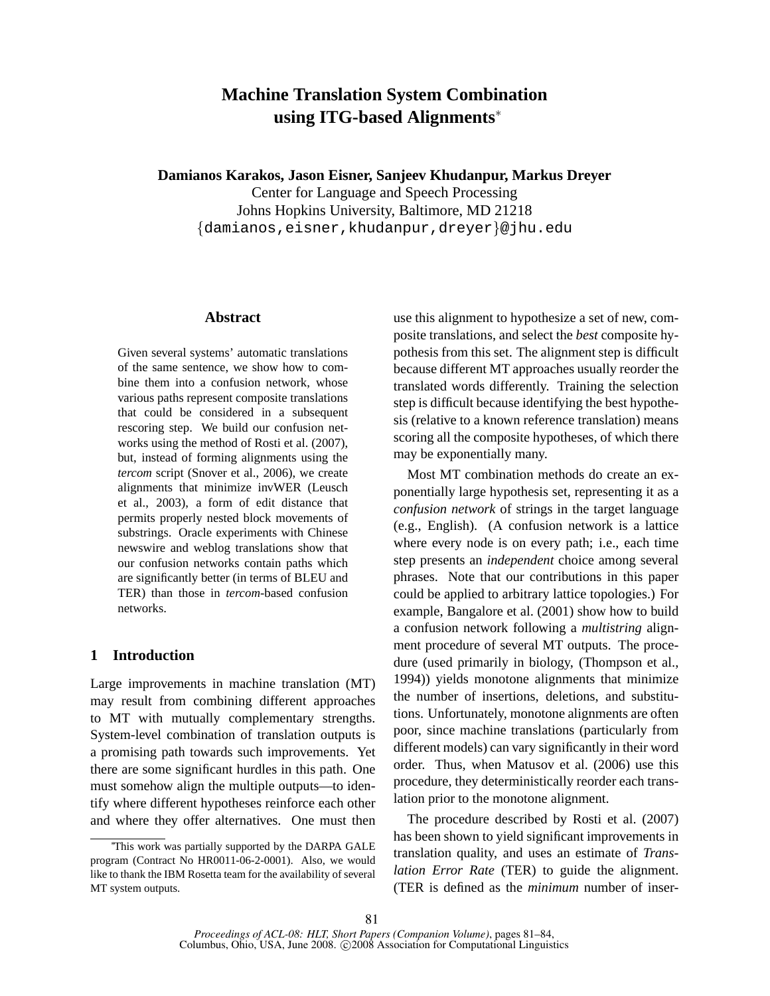# **Machine Translation System Combination using ITG-based Alignments**<sup>∗</sup>

**Damianos Karakos, Jason Eisner, Sanjeev Khudanpur, Markus Dreyer**

Center for Language and Speech Processing Johns Hopkins University, Baltimore, MD 21218 {damianos,eisner,khudanpur,dreyer}@jhu.edu

#### **Abstract**

Given several systems' automatic translations of the same sentence, we show how to combine them into a confusion network, whose various paths represent composite translations that could be considered in a subsequent rescoring step. We build our confusion networks using the method of Rosti et al. (2007), but, instead of forming alignments using the *tercom* script (Snover et al., 2006), we create alignments that minimize invWER (Leusch et al., 2003), a form of edit distance that permits properly nested block movements of substrings. Oracle experiments with Chinese newswire and weblog translations show that our confusion networks contain paths which are significantly better (in terms of BLEU and TER) than those in *tercom*-based confusion networks.

## **1 Introduction**

Large improvements in machine translation (MT) may result from combining different approaches to MT with mutually complementary strengths. System-level combination of translation outputs is a promising path towards such improvements. Yet there are some significant hurdles in this path. One must somehow align the multiple outputs—to identify where different hypotheses reinforce each other and where they offer alternatives. One must then use this alignment to hypothesize a set of new, composite translations, and select the *best* composite hypothesis from this set. The alignment step is difficult because different MT approaches usually reorder the translated words differently. Training the selection step is difficult because identifying the best hypothesis (relative to a known reference translation) means scoring all the composite hypotheses, of which there may be exponentially many.

Most MT combination methods do create an exponentially large hypothesis set, representing it as a *confusion network* of strings in the target language (e.g., English). (A confusion network is a lattice where every node is on every path; i.e., each time step presents an *independent* choice among several phrases. Note that our contributions in this paper could be applied to arbitrary lattice topologies.) For example, Bangalore et al. (2001) show how to build a confusion network following a *multistring* alignment procedure of several MT outputs. The procedure (used primarily in biology, (Thompson et al., 1994)) yields monotone alignments that minimize the number of insertions, deletions, and substitutions. Unfortunately, monotone alignments are often poor, since machine translations (particularly from different models) can vary significantly in their word order. Thus, when Matusov et al. (2006) use this procedure, they deterministically reorder each translation prior to the monotone alignment.

The procedure described by Rosti et al. (2007) has been shown to yield significant improvements in translation quality, and uses an estimate of *Translation Error Rate* (TER) to guide the alignment. (TER is defined as the *minimum* number of inser-

<sup>∗</sup>This work was partially supported by the DARPA GALE program (Contract No HR0011-06-2-0001). Also, we would like to thank the IBM Rosetta team for the availability of several MT system outputs.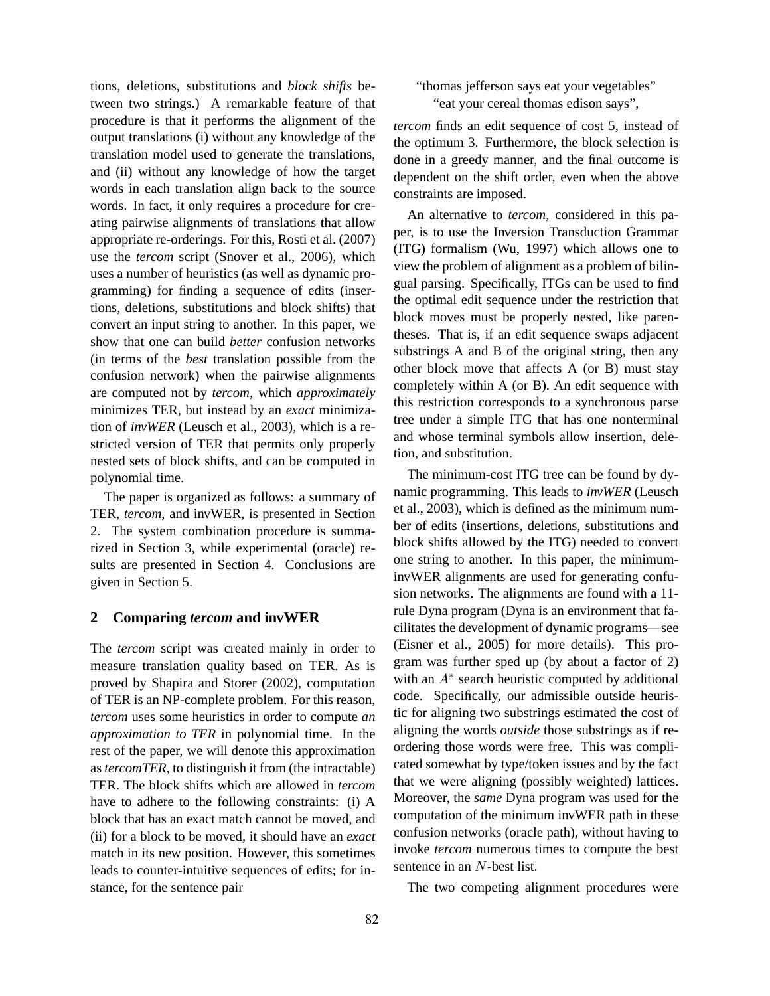tions, deletions, substitutions and *block shifts* between two strings.) A remarkable feature of that procedure is that it performs the alignment of the output translations (i) without any knowledge of the translation model used to generate the translations, and (ii) without any knowledge of how the target words in each translation align back to the source words. In fact, it only requires a procedure for creating pairwise alignments of translations that allow appropriate re-orderings. For this, Rosti et al. (2007) use the *tercom* script (Snover et al., 2006), which uses a number of heuristics (as well as dynamic programming) for finding a sequence of edits (insertions, deletions, substitutions and block shifts) that convert an input string to another. In this paper, we show that one can build *better* confusion networks (in terms of the *best* translation possible from the confusion network) when the pairwise alignments are computed not by *tercom*, which *approximately* minimizes TER, but instead by an *exact* minimization of *invWER* (Leusch et al., 2003), which is a restricted version of TER that permits only properly nested sets of block shifts, and can be computed in polynomial time.

The paper is organized as follows: a summary of TER, *tercom*, and invWER, is presented in Section 2. The system combination procedure is summarized in Section 3, while experimental (oracle) results are presented in Section 4. Conclusions are given in Section 5.

## **2 Comparing** *tercom* **and invWER**

The *tercom* script was created mainly in order to measure translation quality based on TER. As is proved by Shapira and Storer (2002), computation of TER is an NP-complete problem. For this reason, *tercom* uses some heuristics in order to compute *an approximation to TER* in polynomial time. In the rest of the paper, we will denote this approximation as *tercomTER*, to distinguish it from (the intractable) TER. The block shifts which are allowed in *tercom* have to adhere to the following constraints: (i) A block that has an exact match cannot be moved, and (ii) for a block to be moved, it should have an *exact* match in its new position. However, this sometimes leads to counter-intuitive sequences of edits; for instance, for the sentence pair

## "thomas jefferson says eat your vegetables" "eat your cereal thomas edison says",

*tercom* finds an edit sequence of cost 5, instead of the optimum 3. Furthermore, the block selection is done in a greedy manner, and the final outcome is dependent on the shift order, even when the above constraints are imposed.

An alternative to *tercom*, considered in this paper, is to use the Inversion Transduction Grammar (ITG) formalism (Wu, 1997) which allows one to view the problem of alignment as a problem of bilingual parsing. Specifically, ITGs can be used to find the optimal edit sequence under the restriction that block moves must be properly nested, like parentheses. That is, if an edit sequence swaps adjacent substrings A and B of the original string, then any other block move that affects A (or B) must stay completely within A (or B). An edit sequence with this restriction corresponds to a synchronous parse tree under a simple ITG that has one nonterminal and whose terminal symbols allow insertion, deletion, and substitution.

The minimum-cost ITG tree can be found by dynamic programming. This leads to *invWER* (Leusch et al., 2003), which is defined as the minimum number of edits (insertions, deletions, substitutions and block shifts allowed by the ITG) needed to convert one string to another. In this paper, the minimuminvWER alignments are used for generating confusion networks. The alignments are found with a 11 rule Dyna program (Dyna is an environment that facilitates the development of dynamic programs—see (Eisner et al., 2005) for more details). This program was further sped up (by about a factor of 2) with an  $A^*$  search heuristic computed by additional code. Specifically, our admissible outside heuristic for aligning two substrings estimated the cost of aligning the words *outside* those substrings as if reordering those words were free. This was complicated somewhat by type/token issues and by the fact that we were aligning (possibly weighted) lattices. Moreover, the *same* Dyna program was used for the computation of the minimum invWER path in these confusion networks (oracle path), without having to invoke *tercom* numerous times to compute the best sentence in an N-best list.

The two competing alignment procedures were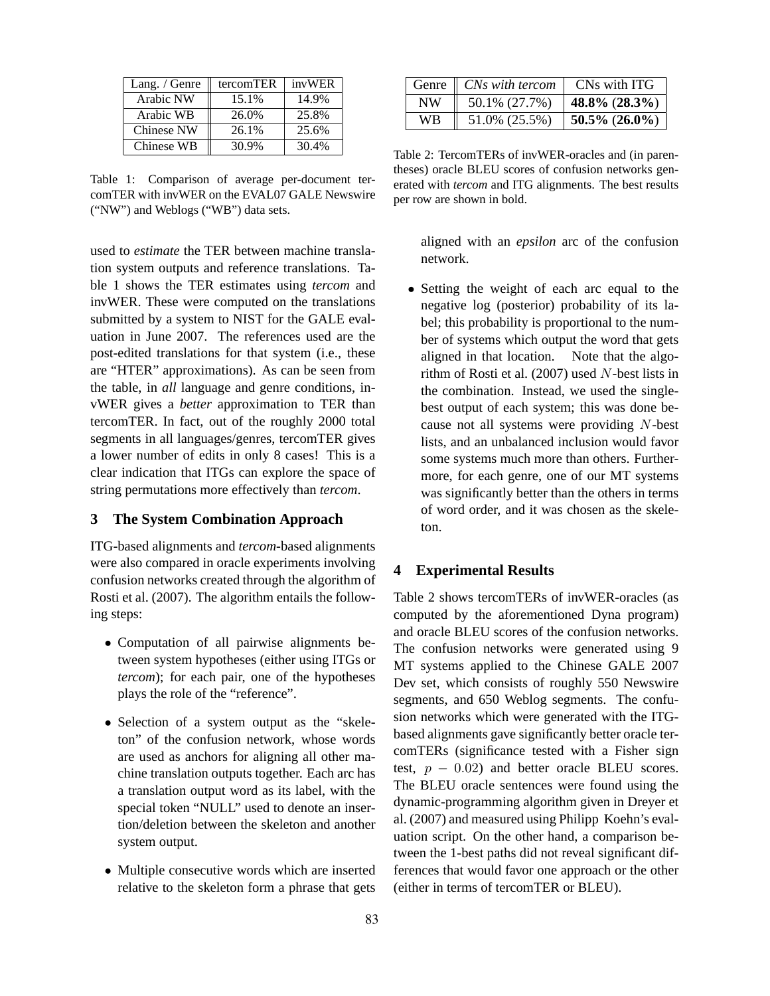| Lang. / Genre | tercomTER | invWER |
|---------------|-----------|--------|
| Arabic NW     | 15.1%     | 14.9%  |
| Arabic WB     | 26.0%     | 25.8%  |
| Chinese NW    | 26.1%     | 25.6%  |
| Chinese WB    | 30.9%     | 30.4%  |

Table 1: Comparison of average per-document tercomTER with invWER on the EVAL07 GALE Newswire ("NW") and Weblogs ("WB") data sets.

used to *estimate* the TER between machine translation system outputs and reference translations. Table 1 shows the TER estimates using *tercom* and invWER. These were computed on the translations submitted by a system to NIST for the GALE evaluation in June 2007. The references used are the post-edited translations for that system (i.e., these are "HTER" approximations). As can be seen from the table, in *all* language and genre conditions, invWER gives a *better* approximation to TER than tercomTER. In fact, out of the roughly 2000 total segments in all languages/genres, tercomTER gives a lower number of edits in only 8 cases! This is a clear indication that ITGs can explore the space of string permutations more effectively than *tercom*.

## **3 The System Combination Approach**

ITG-based alignments and *tercom*-based alignments were also compared in oracle experiments involving confusion networks created through the algorithm of Rosti et al. (2007). The algorithm entails the following steps:

- Computation of all pairwise alignments between system hypotheses (either using ITGs or *tercom*); for each pair, one of the hypotheses plays the role of the "reference".
- Selection of a system output as the "skeleton" of the confusion network, whose words are used as anchors for aligning all other machine translation outputs together. Each arc has a translation output word as its label, with the special token "NULL" used to denote an insertion/deletion between the skeleton and another system output.
- Multiple consecutive words which are inserted relative to the skeleton form a phrase that gets

|    | Genre <i>CNs with tercom</i> | CNs with ITG     |
|----|------------------------------|------------------|
| NW | 50.1% (27.7%)                | 48.8% $(28.3\%)$ |
| WB | 51.0% (25.5%)                | $50.5\%$ (26.0%) |

Table 2: TercomTERs of invWER-oracles and (in parentheses) oracle BLEU scores of confusion networks generated with *tercom* and ITG alignments. The best results per row are shown in bold.

aligned with an *epsilon* arc of the confusion network.

• Setting the weight of each arc equal to the negative log (posterior) probability of its label; this probability is proportional to the number of systems which output the word that gets aligned in that location. Note that the algorithm of Rosti et al. (2007) used N-best lists in the combination. Instead, we used the singlebest output of each system; this was done because not all systems were providing N-best lists, and an unbalanced inclusion would favor some systems much more than others. Furthermore, for each genre, one of our MT systems was significantly better than the others in terms of word order, and it was chosen as the skeleton.

## **4 Experimental Results**

Table 2 shows tercomTERs of invWER-oracles (as computed by the aforementioned Dyna program) and oracle BLEU scores of the confusion networks. The confusion networks were generated using 9 MT systems applied to the Chinese GALE 2007 Dev set, which consists of roughly 550 Newswire segments, and 650 Weblog segments. The confusion networks which were generated with the ITGbased alignments gave significantly better oracle tercomTERs (significance tested with a Fisher sign test,  $p - 0.02$ ) and better oracle BLEU scores. The BLEU oracle sentences were found using the dynamic-programming algorithm given in Dreyer et al. (2007) and measured using Philipp Koehn's evaluation script. On the other hand, a comparison between the 1-best paths did not reveal significant differences that would favor one approach or the other (either in terms of tercomTER or BLEU).